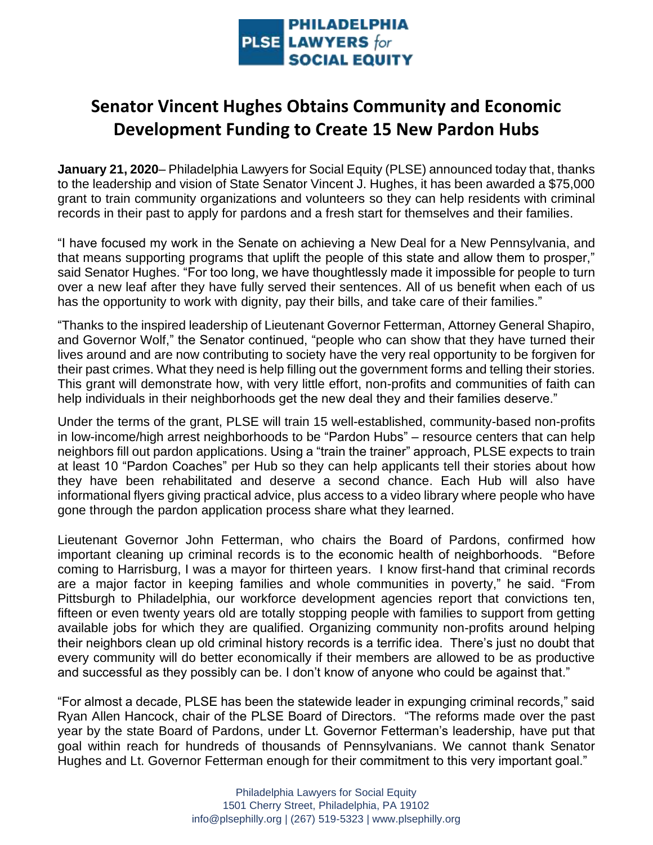

## **Senator Vincent Hughes Obtains Community and Economic Development Funding to Create 15 New Pardon Hubs**

**January 21, 2020**– Philadelphia Lawyers for Social Equity (PLSE) announced today that, thanks to the leadership and vision of State Senator Vincent J. Hughes, it has been awarded a \$75,000 grant to train community organizations and volunteers so they can help residents with criminal records in their past to apply for pardons and a fresh start for themselves and their families.

"I have focused my work in the Senate on achieving a New Deal for a New Pennsylvania, and that means supporting programs that uplift the people of this state and allow them to prosper," said Senator Hughes. "For too long, we have thoughtlessly made it impossible for people to turn over a new leaf after they have fully served their sentences. All of us benefit when each of us has the opportunity to work with dignity, pay their bills, and take care of their families."

"Thanks to the inspired leadership of Lieutenant Governor Fetterman, Attorney General Shapiro, and Governor Wolf," the Senator continued, "people who can show that they have turned their lives around and are now contributing to society have the very real opportunity to be forgiven for their past crimes. What they need is help filling out the government forms and telling their stories. This grant will demonstrate how, with very little effort, non-profits and communities of faith can help individuals in their neighborhoods get the new deal they and their families deserve."

Under the terms of the grant, PLSE will train 15 well-established, community-based non-profits in low-income/high arrest neighborhoods to be "Pardon Hubs" – resource centers that can help neighbors fill out pardon applications. Using a "train the trainer" approach, PLSE expects to train at least 10 "Pardon Coaches" per Hub so they can help applicants tell their stories about how they have been rehabilitated and deserve a second chance. Each Hub will also have informational flyers giving practical advice, plus access to a video library where people who have gone through the pardon application process share what they learned.

Lieutenant Governor John Fetterman, who chairs the Board of Pardons, confirmed how important cleaning up criminal records is to the economic health of neighborhoods. "Before coming to Harrisburg, I was a mayor for thirteen years. I know first-hand that criminal records are a major factor in keeping families and whole communities in poverty," he said. "From Pittsburgh to Philadelphia, our workforce development agencies report that convictions ten, fifteen or even twenty years old are totally stopping people with families to support from getting available jobs for which they are qualified. Organizing community non-profits around helping their neighbors clean up old criminal history records is a terrific idea. There's just no doubt that every community will do better economically if their members are allowed to be as productive and successful as they possibly can be. I don't know of anyone who could be against that."

"For almost a decade, PLSE has been the statewide leader in expunging criminal records," said Ryan Allen Hancock, chair of the PLSE Board of Directors. "The reforms made over the past year by the state Board of Pardons, under Lt. Governor Fetterman's leadership, have put that goal within reach for hundreds of thousands of Pennsylvanians. We cannot thank Senator Hughes and Lt. Governor Fetterman enough for their commitment to this very important goal."